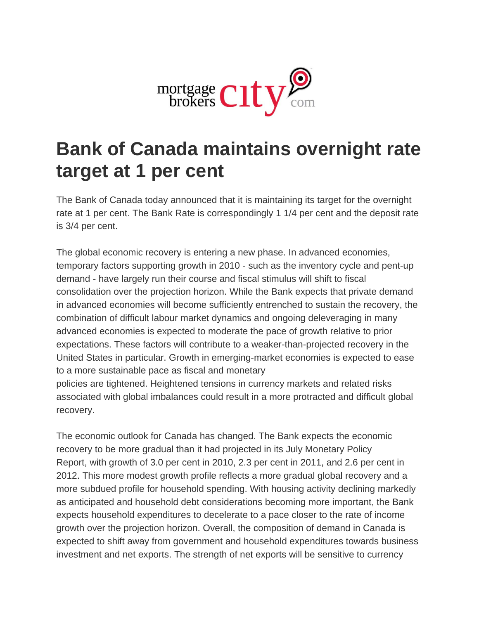

## **Bank of Canada maintains overnight rate target at 1 per cent**

The Bank of Canada today announced that it is maintaining its target for the overnight rate at 1 per cent. The Bank Rate is correspondingly 1 1/4 per cent and the deposit rate is 3/4 per cent.

The global economic recovery is entering a new phase. In advanced economies, temporary factors supporting growth in 2010 - such as the inventory cycle and pent-up demand - have largely run their course and fiscal stimulus will shift to fiscal consolidation over the projection horizon. While the Bank expects that private demand in advanced economies will become sufficiently entrenched to sustain the recovery, the combination of difficult labour market dynamics and ongoing deleveraging in many advanced economies is expected to moderate the pace of growth relative to prior expectations. These factors will contribute to a weaker-than-projected recovery in the United States in particular. Growth in emerging-market economies is expected to ease to a more sustainable pace as fiscal and monetary

policies are tightened. Heightened tensions in currency markets and related risks associated with global imbalances could result in a more protracted and difficult global recovery.

The economic outlook for Canada has changed. The Bank expects the economic recovery to be more gradual than it had projected in its July Monetary Policy Report, with growth of 3.0 per cent in 2010, 2.3 per cent in 2011, and 2.6 per cent in 2012. This more modest growth profile reflects a more gradual global recovery and a more subdued profile for household spending. With housing activity declining markedly as anticipated and household debt considerations becoming more important, the Bank expects household expenditures to decelerate to a pace closer to the rate of income growth over the projection horizon. Overall, the composition of demand in Canada is expected to shift away from government and household expenditures towards business investment and net exports. The strength of net exports will be sensitive to currency